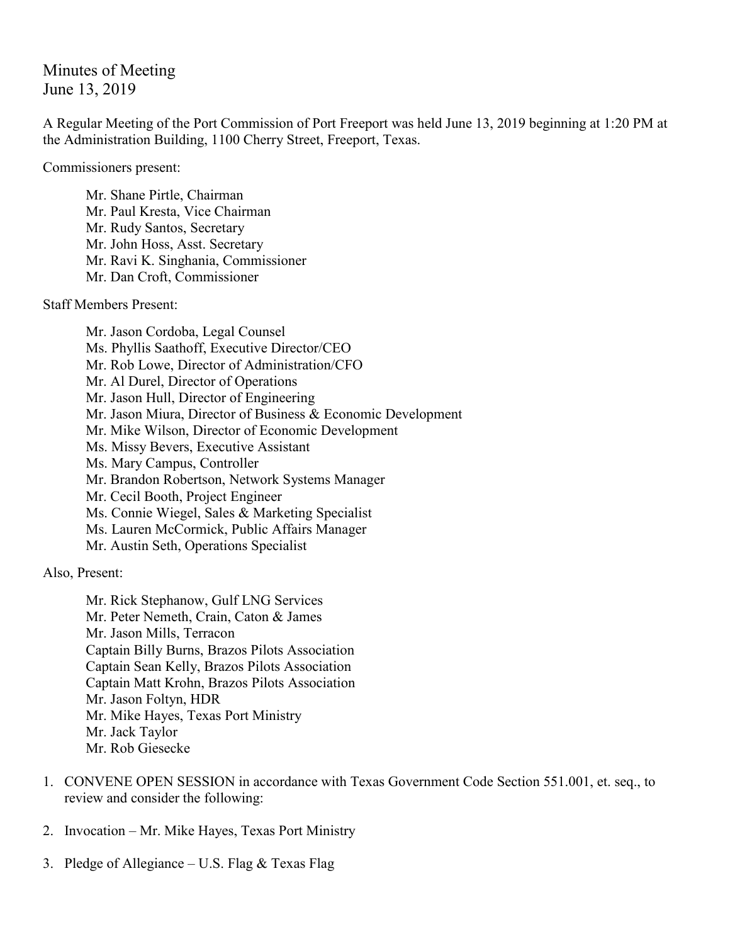Minutes of Meeting June 13, 2019

A Regular Meeting of the Port Commission of Port Freeport was held June 13, 2019 beginning at 1:20 PM at the Administration Building, 1100 Cherry Street, Freeport, Texas.

Commissioners present:

Mr. Shane Pirtle, Chairman Mr. Paul Kresta, Vice Chairman Mr. Rudy Santos, Secretary Mr. John Hoss, Asst. Secretary Mr. Ravi K. Singhania, Commissioner Mr. Dan Croft, Commissioner

Staff Members Present:

Mr. Jason Cordoba, Legal Counsel Ms. Phyllis Saathoff, Executive Director/CEO Mr. Rob Lowe, Director of Administration/CFO Mr. Al Durel, Director of Operations Mr. Jason Hull, Director of Engineering Mr. Jason Miura, Director of Business & Economic Development Mr. Mike Wilson, Director of Economic Development Ms. Missy Bevers, Executive Assistant Ms. Mary Campus, Controller Mr. Brandon Robertson, Network Systems Manager Mr. Cecil Booth, Project Engineer Ms. Connie Wiegel, Sales & Marketing Specialist Ms. Lauren McCormick, Public Affairs Manager Mr. Austin Seth, Operations Specialist

Also, Present:

Mr. Rick Stephanow, Gulf LNG Services Mr. Peter Nemeth, Crain, Caton & James Mr. Jason Mills, Terracon Captain Billy Burns, Brazos Pilots Association Captain Sean Kelly, Brazos Pilots Association Captain Matt Krohn, Brazos Pilots Association Mr. Jason Foltyn, HDR Mr. Mike Hayes, Texas Port Ministry Mr. Jack Taylor Mr. Rob Giesecke

- 1. CONVENE OPEN SESSION in accordance with Texas Government Code Section 551.001, et. seq., to review and consider the following:
- 2. Invocation Mr. Mike Hayes, Texas Port Ministry
- 3. Pledge of Allegiance U.S. Flag  $&$  Texas Flag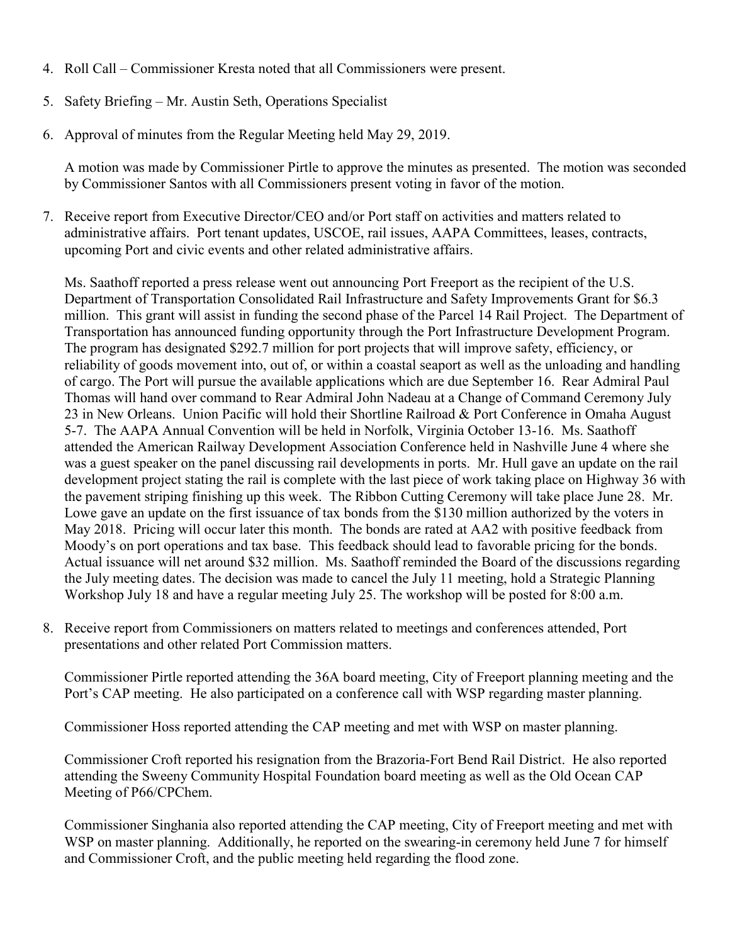- 4. Roll Call Commissioner Kresta noted that all Commissioners were present.
- 5. Safety Briefing Mr. Austin Seth, Operations Specialist
- 6. Approval of minutes from the Regular Meeting held May 29, 2019.

A motion was made by Commissioner Pirtle to approve the minutes as presented. The motion was seconded by Commissioner Santos with all Commissioners present voting in favor of the motion.

7. Receive report from Executive Director/CEO and/or Port staff on activities and matters related to administrative affairs. Port tenant updates, USCOE, rail issues, AAPA Committees, leases, contracts, upcoming Port and civic events and other related administrative affairs.

Ms. Saathoff reported a press release went out announcing Port Freeport as the recipient of the U.S. Department of Transportation Consolidated Rail Infrastructure and Safety Improvements Grant for \$6.3 million. This grant will assist in funding the second phase of the Parcel 14 Rail Project. The Department of Transportation has announced funding opportunity through the Port Infrastructure Development Program. The program has designated \$292.7 million for port projects that will improve safety, efficiency, or reliability of goods movement into, out of, or within a coastal seaport as well as the unloading and handling of cargo. The Port will pursue the available applications which are due September 16. Rear Admiral Paul Thomas will hand over command to Rear Admiral John Nadeau at a Change of Command Ceremony July 23 in New Orleans. Union Pacific will hold their Shortline Railroad & Port Conference in Omaha August 5-7. The AAPA Annual Convention will be held in Norfolk, Virginia October 13-16. Ms. Saathoff attended the American Railway Development Association Conference held in Nashville June 4 where she was a guest speaker on the panel discussing rail developments in ports. Mr. Hull gave an update on the rail development project stating the rail is complete with the last piece of work taking place on Highway 36 with the pavement striping finishing up this week. The Ribbon Cutting Ceremony will take place June 28. Mr. Lowe gave an update on the first issuance of tax bonds from the \$130 million authorized by the voters in May 2018. Pricing will occur later this month. The bonds are rated at AA2 with positive feedback from Moody's on port operations and tax base. This feedback should lead to favorable pricing for the bonds. Actual issuance will net around \$32 million. Ms. Saathoff reminded the Board of the discussions regarding the July meeting dates. The decision was made to cancel the July 11 meeting, hold a Strategic Planning Workshop July 18 and have a regular meeting July 25. The workshop will be posted for 8:00 a.m.

8. Receive report from Commissioners on matters related to meetings and conferences attended, Port presentations and other related Port Commission matters.

Commissioner Pirtle reported attending the 36A board meeting, City of Freeport planning meeting and the Port's CAP meeting. He also participated on a conference call with WSP regarding master planning.

Commissioner Hoss reported attending the CAP meeting and met with WSP on master planning.

Commissioner Croft reported his resignation from the Brazoria-Fort Bend Rail District. He also reported attending the Sweeny Community Hospital Foundation board meeting as well as the Old Ocean CAP Meeting of P66/CPChem.

Commissioner Singhania also reported attending the CAP meeting, City of Freeport meeting and met with WSP on master planning. Additionally, he reported on the swearing-in ceremony held June 7 for himself and Commissioner Croft, and the public meeting held regarding the flood zone.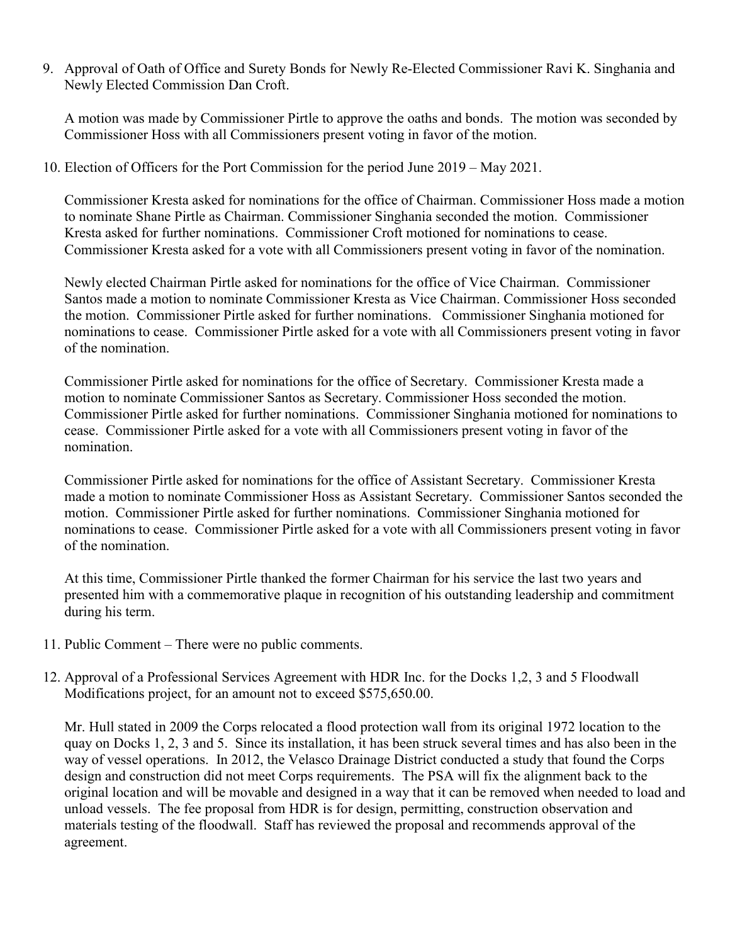9. Approval of Oath of Office and Surety Bonds for Newly Re-Elected Commissioner Ravi K. Singhania and Newly Elected Commission Dan Croft.

A motion was made by Commissioner Pirtle to approve the oaths and bonds. The motion was seconded by Commissioner Hoss with all Commissioners present voting in favor of the motion.

10. Election of Officers for the Port Commission for the period June 2019 – May 2021.

Commissioner Kresta asked for nominations for the office of Chairman. Commissioner Hoss made a motion to nominate Shane Pirtle as Chairman. Commissioner Singhania seconded the motion. Commissioner Kresta asked for further nominations. Commissioner Croft motioned for nominations to cease. Commissioner Kresta asked for a vote with all Commissioners present voting in favor of the nomination.

Newly elected Chairman Pirtle asked for nominations for the office of Vice Chairman. Commissioner Santos made a motion to nominate Commissioner Kresta as Vice Chairman. Commissioner Hoss seconded the motion. Commissioner Pirtle asked for further nominations. Commissioner Singhania motioned for nominations to cease. Commissioner Pirtle asked for a vote with all Commissioners present voting in favor of the nomination.

Commissioner Pirtle asked for nominations for the office of Secretary. Commissioner Kresta made a motion to nominate Commissioner Santos as Secretary. Commissioner Hoss seconded the motion. Commissioner Pirtle asked for further nominations. Commissioner Singhania motioned for nominations to cease. Commissioner Pirtle asked for a vote with all Commissioners present voting in favor of the nomination.

Commissioner Pirtle asked for nominations for the office of Assistant Secretary. Commissioner Kresta made a motion to nominate Commissioner Hoss as Assistant Secretary. Commissioner Santos seconded the motion. Commissioner Pirtle asked for further nominations. Commissioner Singhania motioned for nominations to cease. Commissioner Pirtle asked for a vote with all Commissioners present voting in favor of the nomination.

At this time, Commissioner Pirtle thanked the former Chairman for his service the last two years and presented him with a commemorative plaque in recognition of his outstanding leadership and commitment during his term.

- 11. Public Comment There were no public comments.
- 12. Approval of a Professional Services Agreement with HDR Inc. for the Docks 1,2, 3 and 5 Floodwall Modifications project, for an amount not to exceed \$575,650.00.

Mr. Hull stated in 2009 the Corps relocated a flood protection wall from its original 1972 location to the quay on Docks 1, 2, 3 and 5. Since its installation, it has been struck several times and has also been in the way of vessel operations. In 2012, the Velasco Drainage District conducted a study that found the Corps design and construction did not meet Corps requirements. The PSA will fix the alignment back to the original location and will be movable and designed in a way that it can be removed when needed to load and unload vessels. The fee proposal from HDR is for design, permitting, construction observation and materials testing of the floodwall. Staff has reviewed the proposal and recommends approval of the agreement.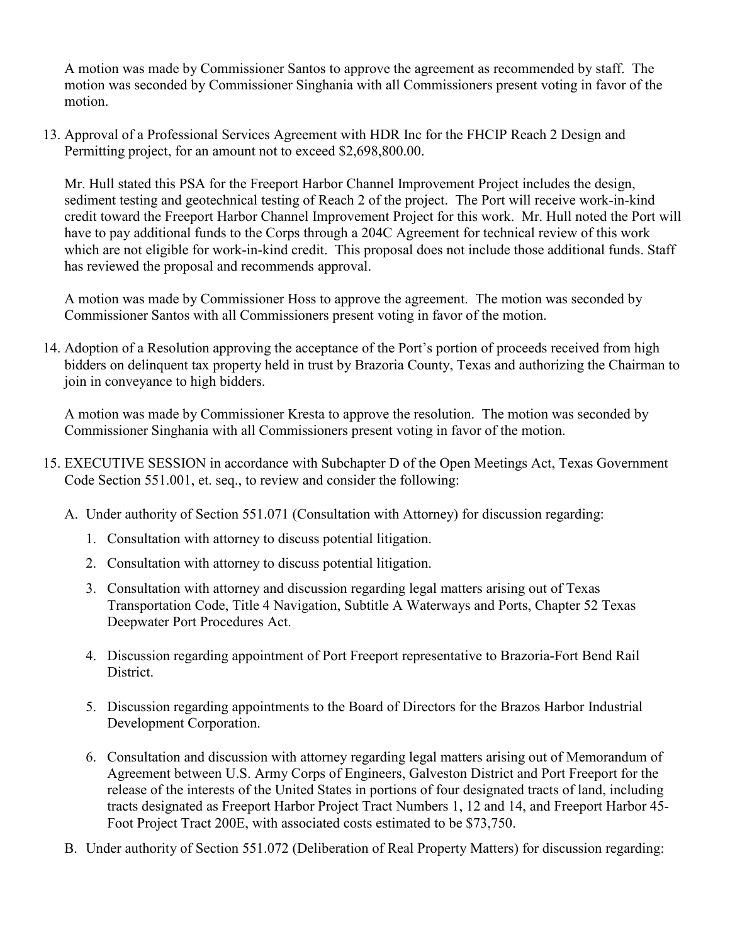A motion was made by Commissioner Santos to approve the agreement as recommended by staff. The motion was seconded by Commissioner Singhania with all Commissioners present voting in favor of the motion.

13. Approval of a Professional Services Agreement with HDR Inc for the FHCIP Reach 2 Design and Permitting project, for an amount not to exceed \$2,698,800.00.

Mr. Hull stated this PSA for the Freeport Harbor Channel Improvement Project includes the design, sediment testing and geotechnical testing of Reach 2 of the project. The Port will receive work-in-kind credit toward the Freeport Harbor Channel Improvement Project for this work. Mr. Hull noted the Port will have to pay additional funds to the Corps through a 204C Agreement for technical review of this work which are not eligible for work-in-kind credit. This proposal does not include those additional funds. Staff has reviewed the proposal and recommends approval.

A motion was made by Commissioner Hoss to approve the agreement. The motion was seconded by Commissioner Santos with all Commissioners present voting in favor of the motion.

14. Adoption of a Resolution approving the acceptance of the Port's portion of proceeds received from high bidders on delinquent tax property held in trust by Brazoria County, Texas and authorizing the Chairman to join in conveyance to high bidders.

A motion was made by Commissioner Kresta to approve the resolution. The motion was seconded by Commissioner Singhania with all Commissioners present voting in favor of the motion.

- 15. EXECUTIVE SESSION in accordance with Subchapter D of the Open Meetings Act, Texas Government Code Section 551.001, et. seq., to review and consider the following:
	- A. Under authority of Section 551.071 (Consultation with Attorney) for discussion regarding:
		- 1. Consultation with attorney to discuss potential litigation.
		- 2. Consultation with attorney to discuss potential litigation.
		- 3. Consultation with attorney and discussion regarding legal matters arising out of Texas Transportation Code, Title 4 Navigation, Subtitle A Waterways and Ports, Chapter 52 Texas Deepwater Port Procedures Act.
		- 4. Discussion regarding appointment of Port Freeport representative to Brazoria-Fort Bend Rail District.
		- 5. Discussion regarding appointments to the Board of Directors for the Brazos Harbor Industrial Development Corporation.
		- 6. Consultation and discussion with attorney regarding legal matters arising out of Memorandum of Agreement between U.S. Army Corps of Engineers, Galveston District and Port Freeport for the release of the interests of the United States in portions of four designated tracts of land, including tracts designated as Freeport Harbor Project Tract Numbers 1, 12 and 14, and Freeport Harbor 45- Foot Project Tract 200E, with associated costs estimated to be \$73,750.
	- B. Under authority of Section 551.072 (Deliberation of Real Property Matters) for discussion regarding: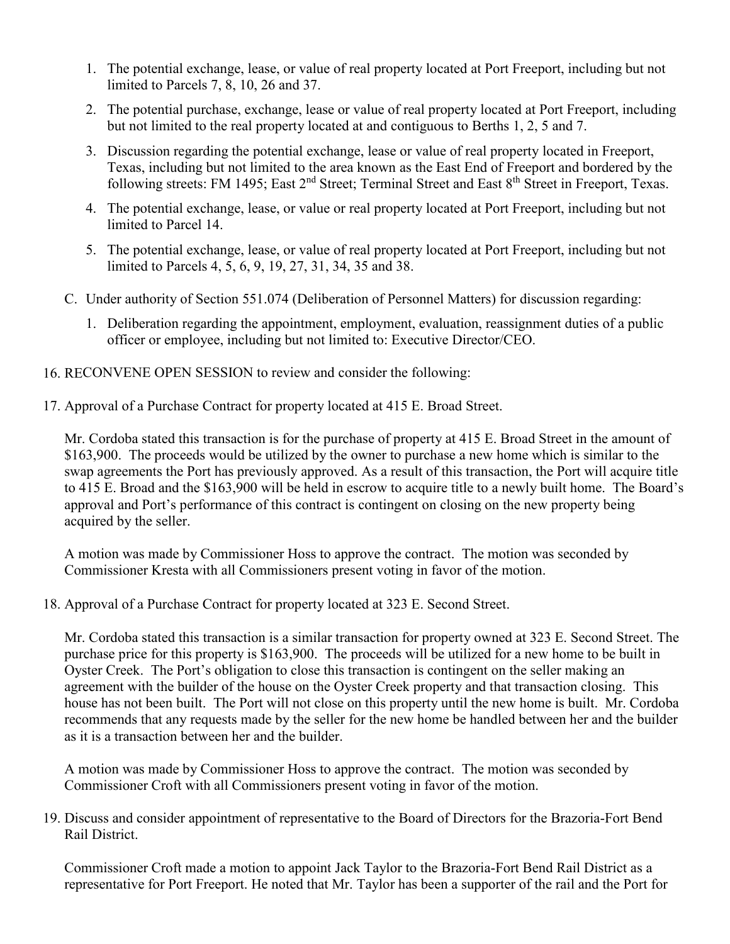- 1. The potential exchange, lease, or value of real property located at Port Freeport, including but not limited to Parcels 7, 8, 10, 26 and 37.
- 2. The potential purchase, exchange, lease or value of real property located at Port Freeport, including but not limited to the real property located at and contiguous to Berths 1, 2, 5 and 7.
- 3. Discussion regarding the potential exchange, lease or value of real property located in Freeport, Texas, including but not limited to the area known as the East End of Freeport and bordered by the following streets: FM 1495; East 2<sup>nd</sup> Street; Terminal Street and East 8<sup>th</sup> Street in Freeport, Texas.
- 4. The potential exchange, lease, or value or real property located at Port Freeport, including but not limited to Parcel 14.
- 5. The potential exchange, lease, or value of real property located at Port Freeport, including but not limited to Parcels 4, 5, 6, 9, 19, 27, 31, 34, 35 and 38.
- C. Under authority of Section 551.074 (Deliberation of Personnel Matters) for discussion regarding:
	- 1. Deliberation regarding the appointment, employment, evaluation, reassignment duties of a public officer or employee, including but not limited to: Executive Director/CEO.
- 16. RECONVENE OPEN SESSION to review and consider the following:
- 17. Approval of a Purchase Contract for property located at 415 E. Broad Street.

Mr. Cordoba stated this transaction is for the purchase of property at 415 E. Broad Street in the amount of \$163,900. The proceeds would be utilized by the owner to purchase a new home which is similar to the swap agreements the Port has previously approved. As a result of this transaction, the Port will acquire title to 415 E. Broad and the \$163,900 will be held in escrow to acquire title to a newly built home. The Board's approval and Port's performance of this contract is contingent on closing on the new property being acquired by the seller.

A motion was made by Commissioner Hoss to approve the contract. The motion was seconded by Commissioner Kresta with all Commissioners present voting in favor of the motion.

18. Approval of a Purchase Contract for property located at 323 E. Second Street.

Mr. Cordoba stated this transaction is a similar transaction for property owned at 323 E. Second Street. The purchase price for this property is \$163,900. The proceeds will be utilized for a new home to be built in Oyster Creek. The Port's obligation to close this transaction is contingent on the seller making an agreement with the builder of the house on the Oyster Creek property and that transaction closing. This house has not been built. The Port will not close on this property until the new home is built. Mr. Cordoba recommends that any requests made by the seller for the new home be handled between her and the builder as it is a transaction between her and the builder.

A motion was made by Commissioner Hoss to approve the contract. The motion was seconded by Commissioner Croft with all Commissioners present voting in favor of the motion.

19. Discuss and consider appointment of representative to the Board of Directors for the Brazoria-Fort Bend Rail District.

Commissioner Croft made a motion to appoint Jack Taylor to the Brazoria-Fort Bend Rail District as a representative for Port Freeport. He noted that Mr. Taylor has been a supporter of the rail and the Port for